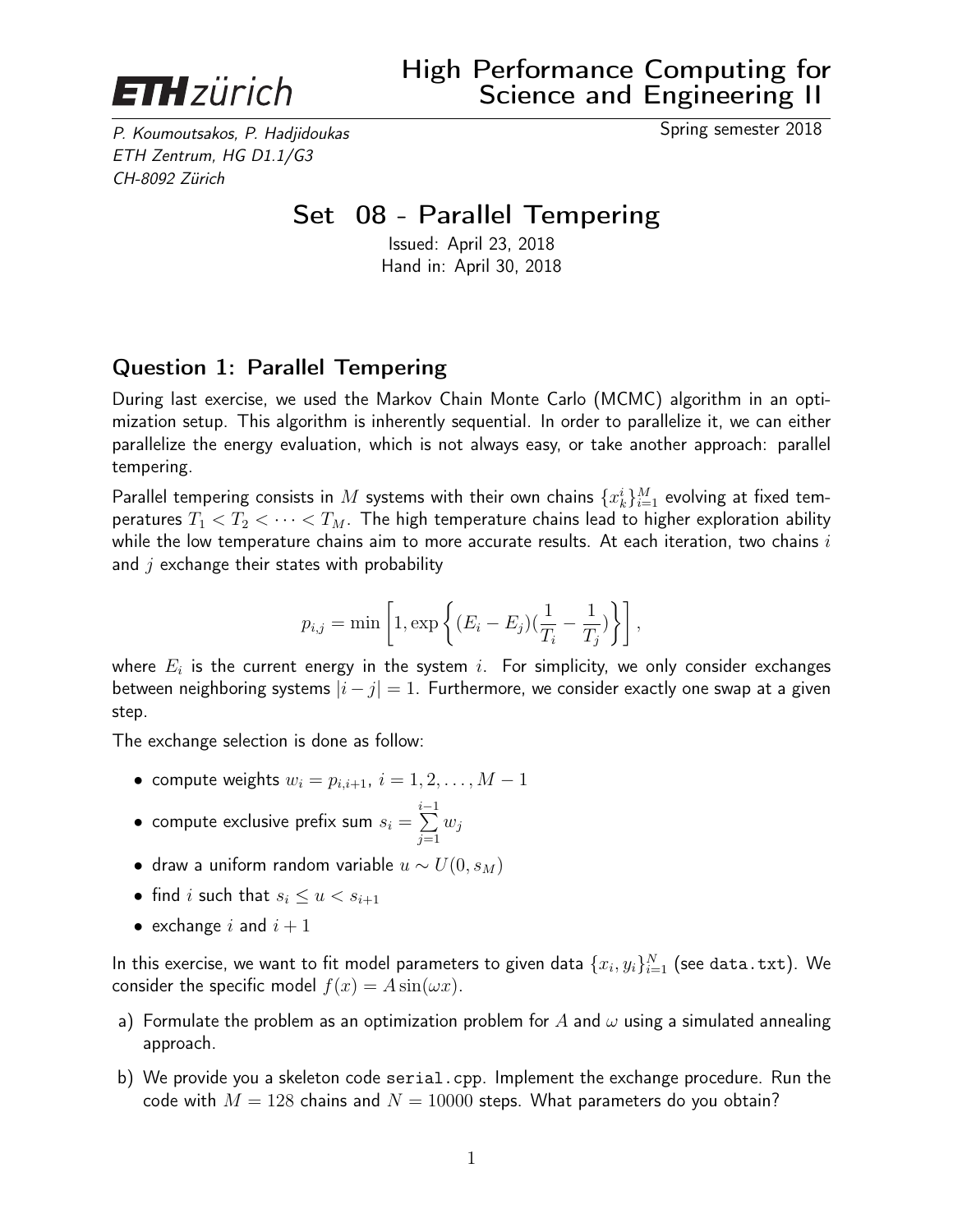

P. Koumoutsakos, P. Hadjidoukas Spring semester 2018 ETH Zentrum, HG D1.1/G3 CH-8092 Zürich

## Set 08 - Parallel Tempering

Issued: April 23, 2018 Hand in: April 30, 2018

## Question 1: Parallel Tempering

During last exercise, we used the Markov Chain Monte Carlo (MCMC) algorithm in an optimization setup. This algorithm is inherently sequential. In order to parallelize it, we can either parallelize the energy evaluation, which is not always easy, or take another approach: parallel tempering.

Parallel tempering consists in  $M$  systems with their own chains  $\{x_k^i\}_{i=1}^M$  evolving at fixed temperatures  $T_1 < T_2 < \cdots < T_M$ . The high temperature chains lead to higher exploration ability while the low temperature chains aim to more accurate results. At each iteration, two chains  $i$ and  $j$  exchange their states with probability

$$
p_{i,j} = \min\left[1, \exp\left\{ (E_i - E_j)(\frac{1}{T_i} - \frac{1}{T_j})\right\} \right],
$$

where  $E_i$  is the current energy in the system  $i.$  For simplicity, we only consider exchanges between neighboring systems  $|i - j| = 1$ . Furthermore, we consider exactly one swap at a given step.

The exchange selection is done as follow:

- compute weights  $w_i = p_{i,i+1}, i = 1, 2, \ldots, M-1$
- $\bullet\,$  compute exclusive prefix sum  $s_i =$  $\sum_{i=1}^{i-1}$  $j=1$  $w_j$
- draw a uniform random variable  $u \sim U(0, s_M)$
- find i such that  $s_i \leq u < s_{i+1}$
- exchange i and  $i + 1$

In this exercise, we want to fit model parameters to given data  $\{x_i, y_i\}_{i=1}^N$  (see data.txt). We consider the specific model  $f(x) = A \sin(\omega x)$ .

- a) Formulate the problem as an optimization problem for A and  $\omega$  using a simulated annealing approach.
- b) We provide you a skeleton code serial.cpp. Implement the exchange procedure. Run the code with  $M = 128$  chains and  $N = 10000$  steps. What parameters do you obtain?